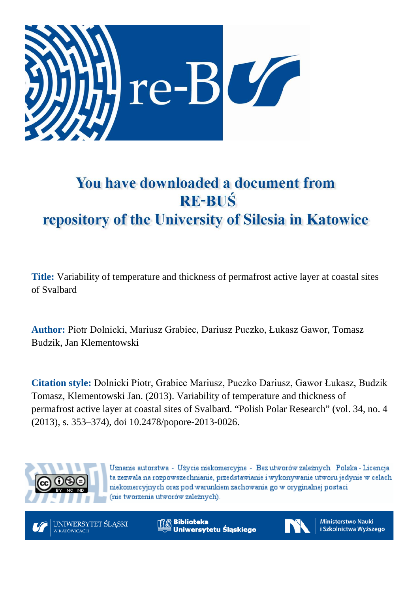

# You have downloaded a document from **RE-BUŚ** repository of the University of Silesia in Katowice

**Title:** Variability of temperature and thickness of permafrost active layer at coastal sites of Svalbard

**Author:** Piotr Dolnicki, Mariusz Grabiec, Dariusz Puczko, Łukasz Gawor, Tomasz Budzik, Jan Klementowski

**Citation style:** Dolnicki Piotr, Grabiec Mariusz, Puczko Dariusz, Gawor Łukasz, Budzik Tomasz, Klementowski Jan. (2013). Variability of temperature and thickness of permafrost active layer at coastal sites of Svalbard. "Polish Polar Research" (vol. 34, no. 4 (2013), s. 353–374), doi 10.2478/popore-2013-0026.



Uznanie autorstwa - Użycie niekomercyjne - Bez utworów zależnych Polska - Licencja ta zezwala na rozpowszechnianie, przedstawianie i wykonywanie utworu jedynie w celach niekomercyjnych oraz pod warunkiem zachowania go w oryginalnej postaci (nie tworzenia utworów zależnych).



**Biblioteka** Uniwersytetu Śląskiego



**Ministerstwo Nauki** i Szkolnictwa Wyższego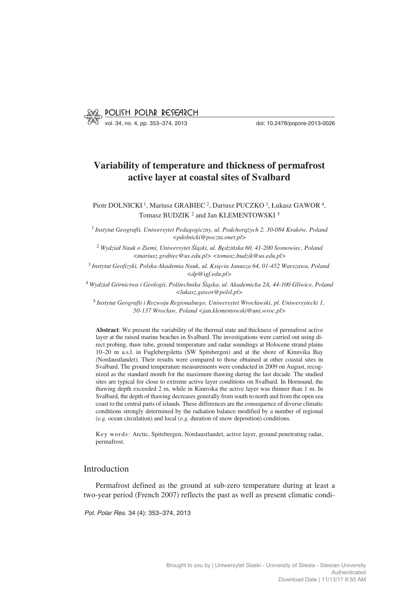

vol. 34, no. 4, pp. 353–374, 2013 doi: 10.2478/popore−2013−0026

# **Variability of temperature and thickness of permafrost active layer at coastal sites of Svalbard**

Piotr DOLNICKI 1, Mariusz GRABIEC 2, Dariusz PUCZKO 3, Łukasz GAWOR 4, Tomasz BUDZIK<sup>2</sup> and Jan KLEMENTOWSKI<sup>5</sup>

<sup>1</sup> *Instytut Geografii, Uniwersytet Pedagogiczny, ul. Podchorążych 2, 30−084 Kraków, Poland <pdolnicki@poczta.onet.pl>*

<sup>2</sup> *Wydział Nauk o Ziemi, Uniwersytet Śląski, ul. Będzińska 60, 41−200 Sosnowiec, Poland <mariusz.grabiec@us.edu.pl> <tomasz.budzik@us.edu.pl>*

<sup>3</sup> *Instytut Geofizyki, Polska Akademia Nauk, ul. Księcia Janusza 64, 01−452 Warszawa, Poland <dp@igf.edu.pl>*

<sup>4</sup> *Wydział Górnictwa i Geologii, Politechnika Śląska, ul. Akademicka 2A, 44−100 Gliwice, Poland <lukasz.gawor@polsl.pl>*

<sup>5</sup> *Instytut Geografii i Rozwoju Regionalnego, Uniwersytet Wrocławski, pl. Uniwersytecki 1, 50−137 Wrocław, Poland <jan.klementowski@uni.wroc.pl>*

**Abstract**: We present the variability of the thermal state and thickness of permafrost active layer at the raised marine beaches in Svalbard. The investigations were carried out using di− rect probing, thaw tube, ground temperature and radar soundings at Holocene strand plains 10–20 m a.s.l. in Fuglebergsletta (SW Spitsbergen) and at the shore of Kinnvika Bay (Nordaustlandet). Their results were compared to those obtained at other coastal sites in Svalbard. The ground temperature measurements were conducted in 2009 on August, recog− nized as the standard month for the maximum thawing during the last decade. The studied sites are typical for close to extreme active layer conditions on Svalbard. In Hornsund, the thawing depth exceeded 2 m, while in Kinnvika the active layer was thinner than 1 m. In Svalbard, the depth of thawing decreases generally from south to north and from the open sea coast to the central parts of islands. These differences are the consequence of diverse climatic conditions strongly determined by the radiation balance modified by a number of regional (*e.g.* ocean circulation) and local (*e.g.* duration of snow deposition) conditions.

Key words: Arctic, Spitsbergen, Nordaustlandet, active layer, ground penetrating radar, permafrost.

## Introduction

Permafrost defined as the ground at sub−zero temperature during at least a two−year period (French 2007) reflects the past as well as present climatic condi−

*Pol. Polar Res.* 34 (4): 353–374, 2013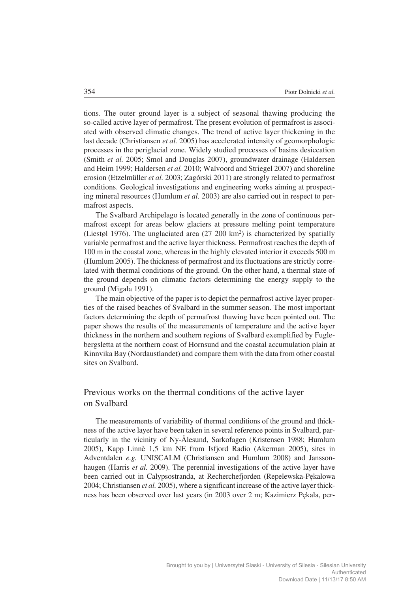tions. The outer ground layer is a subject of seasonal thawing producing the so−called active layer of permafrost. The present evolution of permafrost is associ− ated with observed climatic changes. The trend of active layer thickening in the last decade (Christiansen *et al.* 2005) has accelerated intensity of geomorphologic processes in the periglacial zone. Widely studied processes of basins desiccation (Smith *et al.* 2005; Smol and Douglas 2007), groundwater drainage (Haldersen and Heim 1999; Haldersen *et al.* 2010; Walvoord and Striegel 2007) and shoreline erosion (Etzelmüller *et al.* 2003; Zagórski 2011) are strongly related to permafrost conditions. Geological investigations and engineering works aiming at prospect− ing mineral resources (Humlum *et al.* 2003) are also carried out in respect to per− mafrost aspects.

The Svalbard Archipelago is located generally in the zone of continuous per− mafrost except for areas below glaciers at pressure melting point temperature (Liestøl 1976). The unglaciated area (27 200 km2) is characterized by spatially variable permafrost and the active layer thickness. Permafrost reaches the depth of 100 m in the coastal zone, whereas in the highly elevated interior it exceeds 500 m (Humlum 2005). The thickness of permafrost and its fluctuations are strictly corre− lated with thermal conditions of the ground. On the other hand, a thermal state of the ground depends on climatic factors determining the energy supply to the ground (Migała 1991).

The main objective of the paper is to depict the permafrost active layer proper− ties of the raised beaches of Svalbard in the summer season. The most important factors determining the depth of permafrost thawing have been pointed out. The paper shows the results of the measurements of temperature and the active layer thickness in the northern and southern regions of Svalbard exemplified by Fugle− bergsletta at the northern coast of Hornsund and the coastal accumulation plain at Kinnvika Bay (Nordaustlandet) and compare them with the data from other coastal sites on Svalbard.

# Previous works on the thermal conditions of the active layer on Svalbard

The measurements of variability of thermal conditions of the ground and thick− ness of the active layer have been taken in several reference points in Svalbard, par− ticularly in the vicinity of Ny−Ålesund, Sarkofagen (Kristensen 1988; Humlum 2005), Kapp Linnè 1,5 km NE from Isfjord Radio (Akerman 2005), sites in Adventdalen *e.g.* UNISCALM (Christiansen and Humlum 2008) and Jansson− haugen (Harris *et al.* 2009). The perennial investigations of the active layer have been carried out in Calypsostranda, at Recherchefjorden (Repelewska−Pękalowa 2004; Christiansen *et al.* 2005), where a significant increase of the active layer thick− ness has been observed over last years (in 2003 over 2 m; Kazimierz Pękala, per−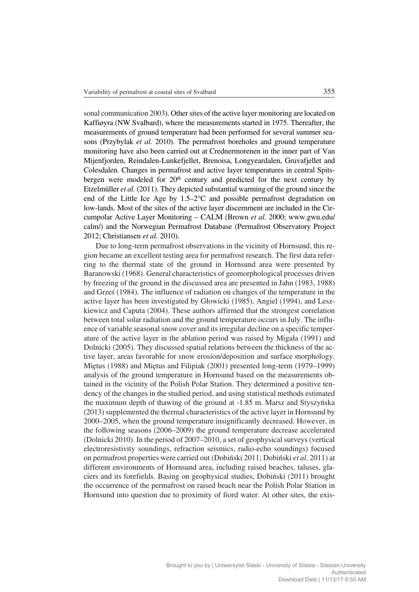sonal communication 2003). Other sites of the active layer monitoring are located on Kaffiøyra (NW Svalbard), where the measurements started in 1975. Thereafter, the measurements of ground temperature had been performed for several summer sea− sons (Przybylak *et al.* 2010). The permafrost boreholes and ground temperature monitoring have also been carried out at Crednermorenen in the inner part of Van Mijenfjorden, Reindalen−Lunkefjellet, Brenoisa, Longyeardalen, Gruvafjellet and Colesdalen. Changes in permafrost and active layer temperatures in central Spits− bergen were modeled for 20<sup>th</sup> century and predicted for the next century by Etzelmüller *et al.* (2011). They depicted substantial warming of the ground since the end of the Little Ice Age by  $1.5-2$ °C and possible permafrost degradation on low−lands. Most of the sites of the active layer discernment are included in the Cir− cumpolar Active Layer Monitoring – CALM (Brown *et al.* 2000; www.gwu.edu/ calm/) and the Norwegian Permafrost Database (Permafrost Observatory Project 2012; Christiansen *et al.* 2010).

Due to long−term permafrost observations in the vicinity of Hornsund, this re− gion became an excellent testing area for permafrost research. The first data refer− ring to the thermal state of the ground in Hornsund area were presented by Baranowski (1968). General characteristics of geomorphological processes driven by freezing of the ground in the discussed area are presented in Jahn (1983, 1988) and Grześ (1984). The influence of radiation on changes of the temperature in the active layer has been investigated by Głowicki (1985), Angiel (1994), and Lesz− kiewicz and Caputa (2004). These authors affirmed that the strongest correlation between total solar radiation and the ground temperature occurs in July. The influ− ence of variable seasonal snow cover and its irregular decline on a specific temper− ature of the active layer in the ablation period was raised by Migała (1991) and Dolnicki (2005). They discussed spatial relations between the thickness of the ac− tive layer, areas favorable for snow erosion/deposition and surface morphology. Miętus (1988) and Miętus and Filipiak (2001) presented long−term (1979–1999) analysis of the ground temperature in Hornsund based on the measurements ob− tained in the vicinity of the Polish Polar Station. They determined a positive ten− dency of the changes in the studied period, and using statistical methods estimated the maximum depth of thawing of the ground at −1.85 m. Marsz and Styszyńska (2013) supplemented the thermal characteristics of the active layer in Hornsund by 2000–2005, when the ground temperature insignificantly decreased. However, in the following seasons (2006–2009) the ground temperature decrease accelerated (Dolnicki 2010). In the period of 2007–2010, a set of geophysical surveys (vertical electroresistivity soundings, refraction seismics, radio−echo soundings) focused on permafrost properties were carried out (Dobiński 2011; Dobiński *et al.* 2011) at different environments of Hornsund area, including raised beaches, taluses, gla− ciers and its forefields. Basing on geophysical studies, Dobiński (2011) brought the occurrence of the permafrost on raised beach near the Polish Polar Station in Hornsund into question due to proximity of fiord water. At other sites, the exis−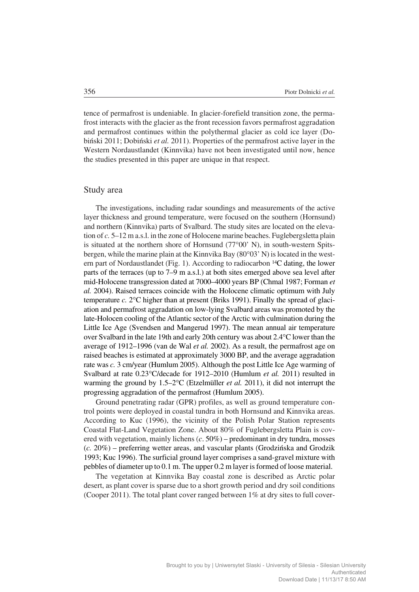tence of permafrost is undeniable. In glacier−forefield transition zone, the perma− frost interacts with the glacier as the front recession favors permafrost aggradation and permafrost continues within the polythermal glacier as cold ice layer (Do− biński 2011; Dobiński *et al.* 2011). Properties of the permafrost active layer in the Western Nordaustlandet (Kinnvika) have not been investigated until now, hence the studies presented in this paper are unique in that respect.

#### Study area

The investigations, including radar soundings and measurements of the active layer thickness and ground temperature, were focused on the southern (Hornsund) and northern (Kinnvika) parts of Svalbard. The study sites are located on the eleva− tion of *c.* 5–12 m a.s.l. in the zone of Holocene marine beaches. Fuglebergsletta plain is situated at the northern shore of Hornsund (77°00' N), in south-western Spitsbergen, while the marine plain at the Kinnvika Bay (80°03' N) is located in the western part of Nordaustlandet (Fig. 1). According to radiocarbon 14C dating, the lower parts of the terraces (up to 7–9 m a.s.l.) at both sites emerged above sea level after mid−Holocene transgression dated at 7000–4000 years BP (Chmal 1987; Forman *et al.* 2004). Raised terraces coincide with the Holocene climatic optimum with July temperature  $c$ . 2 $\degree$ C higher than at present (Briks 1991). Finally the spread of glaciation and permafrost aggradation on low−lying Svalbard areas was promoted by the late−Holocen cooling of the Atlantic sector of the Arctic with culmination during the Little Ice Age (Svendsen and Mangerud 1997). The mean annual air temperature over Svalbard in the late 19th and early 20th century was about 2.4°C lower than the average of 1912–1996 (van de Wal *et al.* 2002). As a result, the permafrost age on raised beaches is estimated at approximately 3000 BP, and the average aggradation rate was *c.* 3 cm/year (Humlum 2005). Although the post Little Ice Age warming of Svalbard at rate 0.23°C/decade for 1912-2010 (Humlum et al. 2011) resulted in warming the ground by 1.5–2°C (Etzelmüller *et al.* 2011), it did not interrupt the progressing aggradation of the permafrost (Humlum 2005).

Ground penetrating radar (GPR) profiles, as well as ground temperature con− trol points were deployed in coastal tundra in both Hornsund and Kinnvika areas. According to Kuc (1996), the vicinity of the Polish Polar Station represents Coastal Flat−Land Vegetation Zone. About 80% of Fuglebergsletta Plain is cov− ered with vegetation, mainly lichens (*c*. 50%) – predominant in dry tundra, mosses (*c.* 20%) – preferring wetter areas, and vascular plants (Grodzińska and Grodzik 1993; Kuc 1996). The surficial ground layer comprises a sand−gravel mixture with pebbles of diameter up to 0.1 m. The upper 0.2 m layer is formed of loose material.

The vegetation at Kinnvika Bay coastal zone is described as Arctic polar desert, as plant cover is sparse due to a short growth period and dry soil conditions (Cooper 2011). The total plant cover ranged between 1% at dry sites to full cover−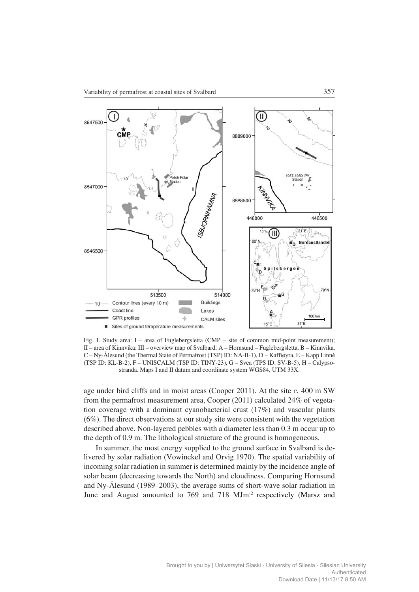

Fig. 1. Study area: I – area of Fuglebergsletta (CMP – site of common mid−point measurement); II – area of Kinnvika; III – overview map of Svalbard: A – Hornsund – Fuglebergsletta, B – Kinnvika, C – Ny−Ålesund (the Thermal State of Permafrost (TSP) ID: NA−B−1), D – Kaffiøyra, E – Kapp Linnè (TSP ID: KL−B−2), F – UNISCALM (TSP ID: TINY−23), G – Svea (TPS ID: SV−B−5), H – Calypso− stranda. Maps I and II datum and coordinate system WGS84, UTM 33X.

age under bird cliffs and in moist areas (Cooper 2011). At the site *c.* 400 m SW from the permafrost measurement area, Cooper (2011) calculated 24% of vegeta− tion coverage with a dominant cyanobacterial crust (17%) and vascular plants (6%). The direct observations at our study site were consistent with the vegetation described above. Non−layered pebbles with a diameter less than 0.3 m occur up to the depth of 0.9 m. The lithological structure of the ground is homogeneous.

In summer, the most energy supplied to the ground surface in Svalbard is de− livered by solar radiation (Vowinckel and Orvig 1970). The spatial variability of incoming solar radiation in summer is determined mainly by the incidence angle of solar beam (decreasing towards the North) and cloudiness. Comparing Hornsund and Ny−Ålesund (1989–2003), the average sums of short−wave solar radiation in June and August amounted to 769 and 718 MJm−2 respectively (Marsz and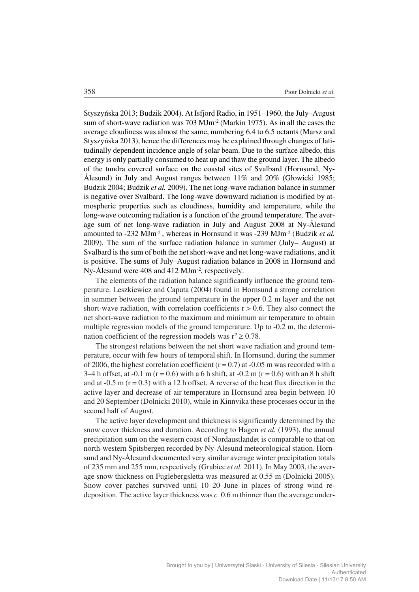Styszyńska 2013; Budzik 2004). At Isfjord Radio, in 1951–1960, the July–August sum of short-wave radiation was 703 MJm<sup>-2</sup> (Markin 1975). As in all the cases the average cloudiness was almost the same, numbering 6.4 to 6.5 octants (Marsz and Styszyńska 2013), hence the differences may be explained through changes of lati− tudinally dependent incidence angle of solar beam. Due to the surface albedo, this energy is only partially consumed to heat up and thaw the ground layer. The albedo of the tundra covered surface on the coastal sites of Svalbard (Hornsund, Ny− Ålesund) in July and August ranges between 11% and 20% (Głowicki 1985; Budzik 2004; Budzik *et al.* 2009). The net long−wave radiation balance in summer is negative over Svalbard. The long−wave downward radiation is modified by at− mospheric properties such as cloudiness, humidity and temperature, while the long−wave outcoming radiation is a function of the ground temperature. The aver− age sum of net long−wave radiation in July and August 2008 at Ny−Ålesund amounted to −232 MJm−2 , whereas in Hornsund it was −239 MJm−2 (Budzik *et al.* 2009). The sum of the surface radiation balance in summer (July– August) at Svalbard is the sum of both the net short−wave and net long−wave radiations, and it is positive. The sums of July–August radiation balance in 2008 in Hornsund and Ny−Ålesund were 408 and 412 MJm−2, respectively.

The elements of the radiation balance significantly influence the ground tem− perature. Leszkiewicz and Caputa (2004) found in Hornsund a strong correlation in summer between the ground temperature in the upper 0.2 m layer and the net short−wave radiation, with correlation coefficients r > 0.6. They also connect the net short−wave radiation to the maximum and minimum air temperature to obtain multiple regression models of the ground temperature. Up to −0.2 m, the determi− nation coefficient of the regression models was  $r^2 \ge 0.78$ .

The strongest relations between the net short wave radiation and ground tem− perature, occur with few hours of temporal shift. In Hornsund, during the summer of 2006, the highest correlation coefficient ( $r = 0.7$ ) at -0.05 m was recorded with a 3–4 h offset, at -0.1 m (r = 0.6) with a 6 h shift, at -0.2 m (r = 0.6) with an 8 h shift and at  $-0.5$  m ( $r = 0.3$ ) with a 12 h offset. A reverse of the heat flux direction in the active layer and decrease of air temperature in Hornsund area begin between 10 and 20 September (Dolnicki 2010), while in Kinnvika these processes occur in the second half of August.

The active layer development and thickness is significantly determined by the snow cover thickness and duration. According to Hagen *et al.* (1993), the annual precipitation sum on the western coast of Nordaustlandet is comparable to that on north−western Spitsbergen recorded by Ny−Ålesund meteorological station. Horn− sund and Ny−Ålesund documented very similar average winter precipitation totals of 235 mm and 255 mm, respectively (Grabiec *et al.* 2011). In May 2003, the aver− age snow thickness on Fuglebergsletta was measured at 0.55 m (Dolnicki 2005). Snow cover patches survived until 10–20 June in places of strong wind re− deposition. The active layer thickness was *c.* 0.6 m thinner than the average under−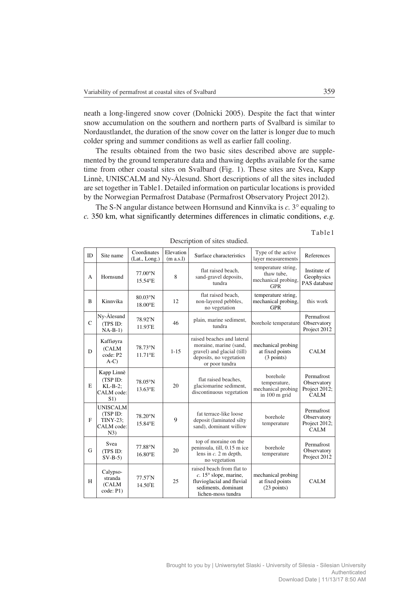neath a long−lingered snow cover (Dolnicki 2005). Despite the fact that winter snow accumulation on the southern and northern parts of Svalbard is similar to Nordaustlandet, the duration of the snow cover on the latter is longer due to much colder spring and summer conditions as well as earlier fall cooling.

The results obtained from the two basic sites described above are supple− mented by the ground temperature data and thawing depths available for the same time from other coastal sites on Svalbard (Fig. 1). These sites are Svea, Kapp Linnè, UNISCALM and Ny−Ålesund. Short descriptions of all the sites included are set together in Table1. Detailed information on particular locations is provided by the Norwegian Permafrost Database (Permafrost Observatory Project 2012).

The S-N angular distance between Hornsund and Kinnvika is *c*. 3° equaling to *c.* 350 km, what significantly determines differences in climatic conditions, *e.g.*

| Description of sites studied. |                                                                     |                                      |                        |                                                                                                                                       |                                                                 |                                                           |
|-------------------------------|---------------------------------------------------------------------|--------------------------------------|------------------------|---------------------------------------------------------------------------------------------------------------------------------------|-----------------------------------------------------------------|-----------------------------------------------------------|
| ID                            | Site name                                                           | Coordinates<br>(Lat., Long.)         | Elevation<br>(m a.s.1) | Surface characteristics                                                                                                               | Type of the active<br>layer measurements                        | References                                                |
| A                             | Hornsund                                                            | $77.00^\circ$ N<br>15.54°E           | 8                      | flat raised beach,<br>sand-gravel deposits,<br>tundra                                                                                 | temperature string,<br>thaw tube,<br>mechanical probing,<br>GPR | Institute of<br>Geophysics<br>PAS database                |
| $\overline{B}$                | Kinnvika                                                            | 80.03°N<br>$18.00^{\circ}$ E         | 12                     | flat raised beach,<br>non-layered pebbles,<br>no vegetation                                                                           | temperature string,<br>mechanical probing,<br><b>GPR</b>        | this work                                                 |
| $\mathbf C$                   | Ny-Ålesund<br>(TPS ID:<br>$NA-B-1)$                                 | 78.92°N<br>$11.93^{\circ}E$          | 46                     | plain, marine sediment,<br>tundra                                                                                                     | borehole temperature                                            | Permafrost<br>Observatory<br>Project 2012                 |
| D                             | Kaffiøyra<br>(CALM<br>code: P2<br>$A-C$                             | 78.73°N<br>$11.71$ <sup>o</sup> E    | $1 - 1.5$              | raised beaches and lateral<br>moraine, marine (sand,<br>gravel) and glacial (till)<br>deposits, no vegetation<br>or poor tundra       | mechanical probing<br>at fixed points<br>(3 points)             | <b>CALM</b>                                               |
| E                             | Kapp Linnè<br>(TSP ID:<br>$KL-B-2$ ;<br>CALM code:<br>S1)           | 78.05°N<br>13.63°E                   | 20                     | flat raised beaches,<br>glaciomarine sediment,<br>discontinuous vegetation                                                            | borehole<br>temperature,<br>mechanical probing<br>in 100 m grid | Permafrost<br>Observatory<br>Project 2012;<br><b>CALM</b> |
| F                             | <b>UNISCALM</b><br>(TSP ID:<br><b>TINY-23:</b><br>CALM code:<br>N3) | 78.20°N<br>15.84°E                   | 9                      | fat terrace-like loose<br>deposit (laminated silty<br>sand), dominant willow                                                          | borehole<br>temperature                                         | Permafrost<br>Observatory<br>Project 2012;<br><b>CALM</b> |
| G                             | Svea<br>(TPS ID:<br>$SV-B-5)$                                       | 77.88°N<br>16.80°E                   | 20                     | top of moraine on the<br>peninsula, till, 0.15 m ice<br>lens in $c$ . 2 m depth,<br>no vegetation                                     | borehole<br>temperature                                         | Permafrost<br>Observatory<br>Project 2012                 |
| H                             | Calypso-<br>stranda<br>(CALM<br>code: P1)                           | $77.57^{\circ}N$<br>$14.50^{\circ}E$ | 25                     | raised beach from flat to<br>$c. 15^{\circ}$ slope, marine,<br>fluvioglacial and fluvial<br>sediments, dominant<br>lichen-moss tundra | mechanical probing<br>at fixed points<br>$(23$ points)          | <b>CALM</b>                                               |

Description of sites studied.

Table1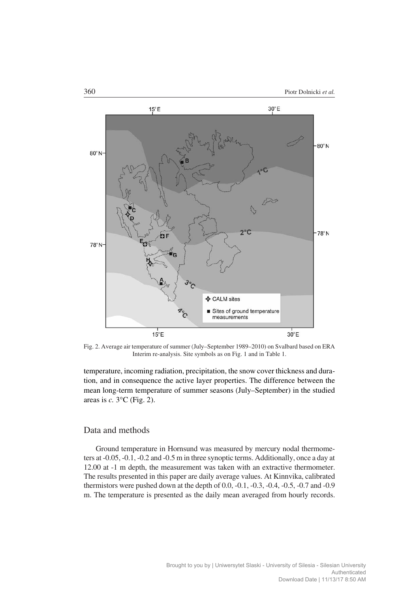

Fig. 2. Average air temperature of summer (July–September 1989–2010) on Svalbard based on ERA Interim re−analysis. Site symbols as on Fig. 1 and in Table 1.

temperature, incoming radiation, precipitation, the snow cover thickness and dura− tion, and in consequence the active layer properties. The difference between the mean long−term temperature of summer seasons (July–September) in the studied areas is  $c$ .  $3^{\circ}$ C (Fig. 2).

#### Data and methods

Ground temperature in Hornsund was measured by mercury nodal thermome− ters at −0.05, −0.1, −0.2 and −0.5 m in three synoptic terms. Additionally, once a day at 12.00 at −1 m depth, the measurement was taken with an extractive thermometer. The results presented in this paper are daily average values. At Kinnvika, calibrated thermistors were pushed down at the depth of 0.0, −0.1, −0.3, −0.4, −0.5, −0.7 and −0.9 m. The temperature is presented as the daily mean averaged from hourly records.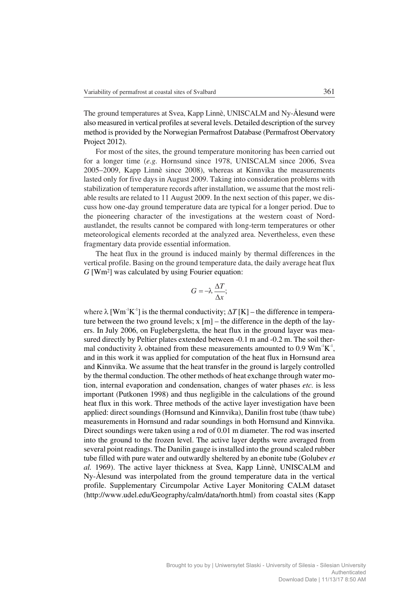The ground temperatures at Svea, Kapp Linnè, UNISCALM and Ny−Ålesund were also measured in vertical profiles at several levels. Detailed description of the survey method is provided by the Norwegian Permafrost Database (Permafrost Obervatory Project 2012).

For most of the sites, the ground temperature monitoring has been carried out for a longer time (*e.g.* Hornsund since 1978, UNISCALM since 2006, Svea 2005–2009, Kapp Linnè since 2008), whereas at Kinnvika the measurements lasted only for five days in August 2009. Taking into consideration problems with stabilization of temperature records after installation, we assume that the most reli− able results are related to 11 August 2009. In the next section of this paper, we dis− cuss how one−day ground temperature data are typical for a longer period. Due to the pioneering character of the investigations at the western coast of Nord− austlandet, the results cannot be compared with long−term temperatures or other meteorological elements recorded at the analyzed area. Nevertheless, even these fragmentary data provide essential information.

The heat flux in the ground is induced mainly by thermal differences in the vertical profile. Basing on the ground temperature data, the daily average heat flux *G* [Wm2] was calculated by using Fourier equation:

$$
G = -\lambda \frac{\Delta T}{\Delta x};
$$

where  $\lambda$  [Wm<sup>-1</sup>K<sup>-1</sup>] is the thermal conductivity;  $\Delta T$  [K] – the difference in temperature between the two ground levels; x [m] – the difference in the depth of the lay− ers. In July 2006, on Fuglebergsletta, the heat flux in the ground layer was mea− sured directly by Peltier plates extended between −0.1 m and −0.2 m. The soil ther– mal conductivity  $\lambda$  obtained from these measurements amounted to 0.9 Wm<sup>-1</sup>K<sup>-1</sup>, and in this work it was applied for computation of the heat flux in Hornsund area and Kinnvika. We assume that the heat transfer in the ground is largely controlled by the thermal conduction. The other methods of heat exchange through water mo− tion, internal evaporation and condensation, changes of water phases *etc.* is less important (Putkonen 1998) and thus negligible in the calculations of the ground heat flux in this work. Three methods of the active layer investigation have been applied: direct soundings (Hornsund and Kinnvika), Danilin frost tube (thaw tube) measurements in Hornsund and radar soundings in both Hornsund and Kinnvika. Direct soundings were taken using a rod of 0.01 m diameter. The rod was inserted into the ground to the frozen level. The active layer depths were averaged from several point readings. The Danilin gauge is installed into the ground scaled rubber tube filled with pure water and outwardly sheltered by an ebonite tube (Golubev *et al.* 1969). The active layer thickness at Svea, Kapp Linnè, UNISCALM and Ny−Ålesund was interpolated from the ground temperature data in the vertical profile. Supplementary Circumpolar Active Layer Monitoring CALM dataset (http://www.udel.edu/Geography/calm/data/north.html) from coastal sites (Kapp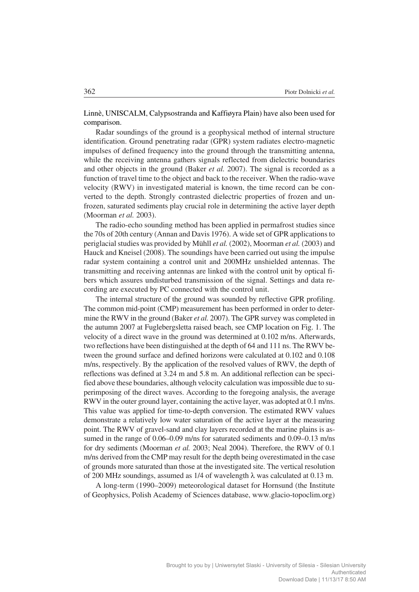Linnè, UNISCALM, Calypsostranda and Kaffiøyra Plain) have also been used for comparison.

Radar soundings of the ground is a geophysical method of internal structure identification. Ground penetrating radar (GPR) system radiates electro−magnetic impulses of defined frequency into the ground through the transmitting antenna, while the receiving antenna gathers signals reflected from dielectric boundaries and other objects in the ground (Baker *et al.* 2007). The signal is recorded as a function of travel time to the object and back to the receiver. When the radio−wave velocity (RWV) in investigated material is known, the time record can be con− verted to the depth. Strongly contrasted dielectric properties of frozen and un− frozen, saturated sediments play crucial role in determining the active layer depth (Moorman *et al.* 2003).

The radio−echo sounding method has been applied in permafrost studies since the 70s of 20th century (Annan and Davis 1976). A wide set of GPR applications to periglacial studies was provided by Mühll *et al.* (2002), Moorman *et al.* (2003) and Hauck and Kneisel (2008). The soundings have been carried out using the impulse radar system containing a control unit and 200MHz unshielded antennas. The transmitting and receiving antennas are linked with the control unit by optical fi− bers which assures undisturbed transmission of the signal. Settings and data re− cording are executed by PC connected with the control unit.

The internal structure of the ground was sounded by reflective GPR profiling. The common mid−point (CMP) measurement has been performed in order to deter− mine the RWV in the ground (Baker *et al.* 2007). The GPR survey was completed in the autumn 2007 at Fuglebergsletta raised beach, see CMP location on Fig. 1. The velocity of a direct wave in the ground was determined at 0.102 m/ns. Afterwards, two reflections have been distinguished at the depth of 64 and 111 ns. The RWV be− tween the ground surface and defined horizons were calculated at 0.102 and 0.108 m/ns, respectively. By the application of the resolved values of RWV, the depth of reflections was defined at 3.24 m and 5.8 m. An additional reflection can be speci− fied above these boundaries, although velocity calculation was impossible due to su− perimposing of the direct waves. According to the foregoing analysis, the average RWV in the outer ground layer, containing the active layer, was adopted at 0.1 m/ns. This value was applied for time−to−depth conversion. The estimated RWV values demonstrate a relatively low water saturation of the active layer at the measuring point. The RWV of gravel−sand and clay layers recorded at the marine plains is as− sumed in the range of 0.06–0.09 m/ns for saturated sediments and 0.09–0.13 m/ns for dry sediments (Moorman *et al.* 2003; Neal 2004). Therefore, the RWV of 0.1 m/ns derived from the CMP may result for the depth being overestimated in the case of grounds more saturated than those at the investigated site. The vertical resolution of 200 MHz soundings, assumed as 1/4 of wavelength  $\lambda$  was calculated at 0.13 m.

A long−term (1990–2009) meteorological dataset for Hornsund (the Institute of Geophysics, Polish Academy of Sciences database, www.glacio−topoclim.org)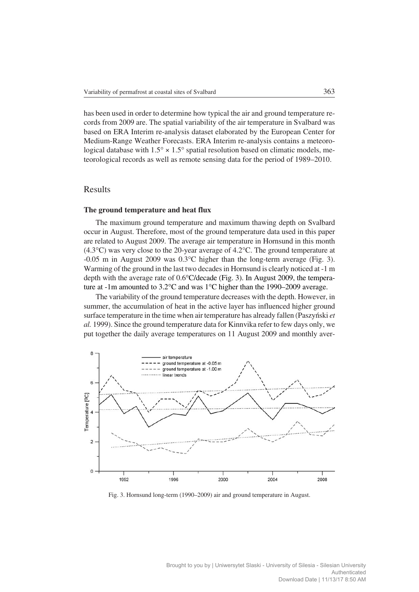has been used in order to determine how typical the air and ground temperature re− cords from 2009 are. The spatial variability of the air temperature in Svalbard was based on ERA Interim re−analysis dataset elaborated by the European Center for Medium−Range Weather Forecasts. ERA Interim re−analysis contains a meteoro− logical database with  $1.5^{\circ} \times 1.5^{\circ}$  spatial resolution based on climatic models, meteorological records as well as remote sensing data for the period of 1989–2010.

## Results

#### **The ground temperature and heat flux**

The maximum ground temperature and maximum thawing depth on Svalbard occur in August. Therefore, most of the ground temperature data used in this paper are related to August 2009. The average air temperature in Hornsund in this month (4.3-C) was very close to the 20−year average of 4.2-C. The ground temperature at −0.05 m in August 2009 was 0.3-C higher than the long−term average (Fig. 3). Warming of the ground in the last two decades in Hornsund is clearly noticed at −1 m depth with the average rate of 0.6°C/decade (Fig. 3). In August 2009, the temperature at -1m amounted to 3.2°C and was 1°C higher than the 1990–2009 average.

The variability of the ground temperature decreases with the depth. However, in summer, the accumulation of heat in the active layer has influenced higher ground surface temperature in the time when air temperature has already fallen (Paszyński *et al.* 1999). Since the ground temperature data for Kinnvika refer to few days only, we put together the daily average temperatures on 11 August 2009 and monthly aver−



Fig. 3. Hornsund long−term (1990–2009) air and ground temperature in August.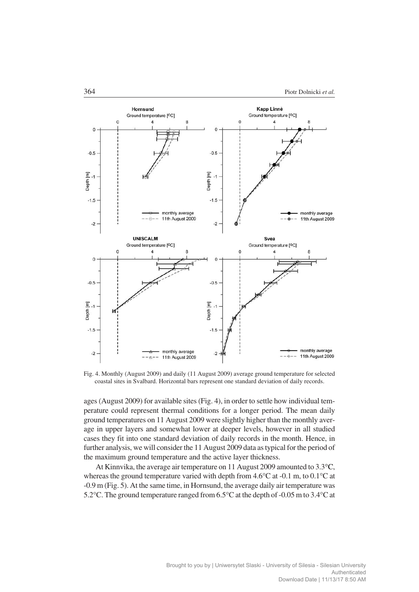

Fig. 4. Monthly (August 2009) and daily (11 August 2009) average ground temperature for selected coastal sites in Svalbard. Horizontal bars represent one standard deviation of daily records.

ages (August 2009) for available sites (Fig. 4), in order to settle how individual tem− perature could represent thermal conditions for a longer period. The mean daily ground temperatures on 11 August 2009 were slightly higher than the monthly aver− age in upper layers and somewhat lower at deeper levels, however in all studied cases they fit into one standard deviation of daily records in the month. Hence, in further analysis, we will consider the 11 August 2009 data as typical for the period of the maximum ground temperature and the active layer thickness.

At Kinnvika, the average air temperature on 11 August 2009 amounted to 3.3°C, whereas the ground temperature varied with depth from 4.6°C at -0.1 m, to 0.1°C at −0.9 m (Fig. 5). At the same time, in Hornsund, the average daily air temperature was 5.2°C. The ground temperature ranged from 6.5°C at the depth of -0.05 m to 3.4°C at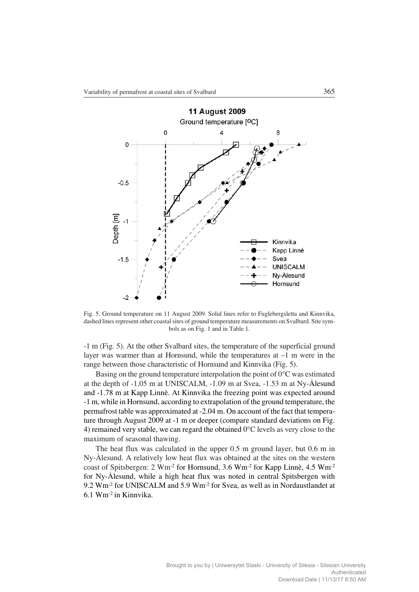

Fig. 5. Ground temperature on 11 August 2009. Solid lines refer to Fuglebergsletta and Kinnvika, dashed lines represent other coastal sites of ground temperature measurements on Svalbard. Site sym− bols as on Fig. 1 and in Table 1.

−1 m (Fig. 5). At the other Svalbard sites, the temperature of the superficial ground layer was warmer than at Hornsund, while the temperatures at  $-1$  m were in the range between those characteristic of Hornsund and Kinnvika (Fig. 5).

Basing on the ground temperature interpolation the point of  $0^{\circ}$ C was estimated at the depth of −1.05 m at UNISCALM, −1.09 m at Svea, −1.53 m at Ny−Ålesund and −1.78 m at Kapp Linnè. At Kinnvika the freezing point was expected around −1 m, while in Hornsund, according to extrapolation of the ground temperature, the permafrost table was approximated at -2.04 m. On account of the fact that temperature through August 2009 at −1 m or deeper (compare standard deviations on Fig. 4) remained very stable, we can regard the obtained  $0^{\circ}$ C levels as very close to the maximum of seasonal thawing.

The heat flux was calculated in the upper 0.5 m ground layer, but 0.6 m in Ny−Ålesund. A relatively low heat flux was obtained at the sites on the western coast of Spitsbergen: 2 Wm<sup>-2</sup> for Hornsund, 3.6 Wm<sup>-2</sup> for Kapp Linnè, 4.5 Wm<sup>-2</sup> for Ny−Ålesund, while a high heat flux was noted in central Spitsbergen with 9.2 Wm<sup>-2</sup> for UNISCALM and 5.9 Wm<sup>-2</sup> for Svea, as well as in Nordaustlandet at 6.1 Wm−2 in Kinnvika.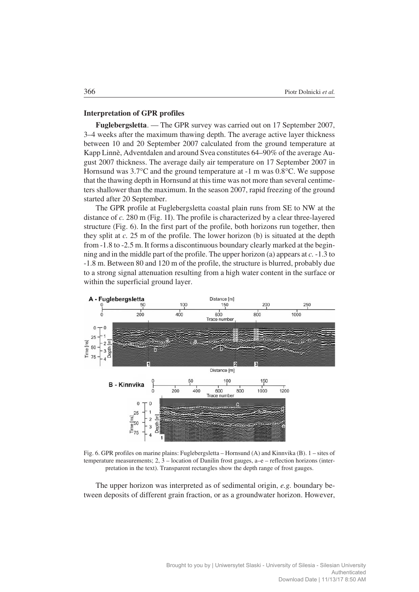#### **Interpretation of GPR profiles**

**Fuglebergsletta**. — The GPR survey was carried out on 17 September 2007, 3–4 weeks after the maximum thawing depth. The average active layer thickness between 10 and 20 September 2007 calculated from the ground temperature at Kapp Linnè, Adventdalen and around Svea constitutes 64–90% of the average Au− gust 2007 thickness. The average daily air temperature on 17 September 2007 in Hornsund was 3.7°C and the ground temperature at -1 m was 0.8°C. We suppose that the thawing depth in Hornsund at this time was not more than several centime− ters shallower than the maximum. In the season 2007, rapid freezing of the ground started after 20 September.

The GPR profile at Fuglebergsletta coastal plain runs from SE to NW at the distance of *c.* 280 m (Fig. 1I). The profile is characterized by a clear three−layered structure (Fig. 6). In the first part of the profile, both horizons run together, then they split at *c.* 25 m of the profile. The lower horizon (b) is situated at the depth from −1.8 to −2.5 m. It forms a discontinuous boundary clearly marked at the begin− ning and in the middle part of the profile. The upper horizon (a) appears at *c.* −1.3 to −1.8 m. Between 80 and 120 m of the profile, the structure is blurred, probably due to a strong signal attenuation resulting from a high water content in the surface or within the superficial ground layer.



Fig. 6. GPR profiles on marine plains: Fuglebergsletta – Hornsund (A) and Kinnvika (B). 1 – sites of temperature measurements; 2, 3 – location of Danilin frost gauges, a–e – reflection horizons (inter− pretation in the text). Transparent rectangles show the depth range of frost gauges.

The upper horizon was interpreted as of sedimental origin, *e.g.* boundary be− tween deposits of different grain fraction, or as a groundwater horizon. However,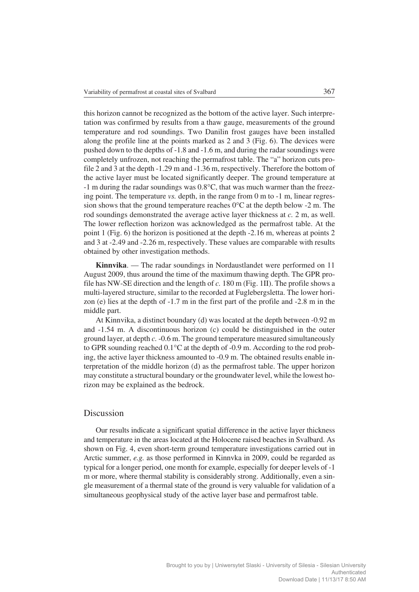this horizon cannot be recognized as the bottom of the active layer. Such interpre− tation was confirmed by results from a thaw gauge, measurements of the ground temperature and rod soundings. Two Danilin frost gauges have been installed along the profile line at the points marked as 2 and 3 (Fig. 6). The devices were pushed down to the depths of −1.8 and −1.6 m, and during the radar soundings were completely unfrozen, not reaching the permafrost table. The "a" horizon cuts pro− file 2 and 3 at the depth −1.29 m and −1.36 m, respectively. Therefore the bottom of the active layer must be located significantly deeper. The ground temperature at −1 m during the radar soundings was 0.8-C, that was much warmer than the freez− ing point. The temperature *vs.* depth, in the range from 0 m to −1 m, linear regres− sion shows that the ground temperature reaches 0°C at the depth below -2 m. The rod soundings demonstrated the average active layer thickness at *c.* 2 m, as well. The lower reflection horizon was acknowledged as the permafrost table. At the point 1 (Fig. 6) the horizon is positioned at the depth −2.16 m, whereas at points 2 and 3 at −2.49 and −2.26 m, respectively. These values are comparable with results obtained by other investigation methods.

**Kinnvika**. — The radar soundings in Nordaustlandet were performed on 11 August 2009, thus around the time of the maximum thawing depth. The GPR pro− file has NW−SE direction and the length of *c.* 180 m (Fig. 1II). The profile shows a multi−layered structure, similar to the recorded at Fuglebergsletta. The lower hori− zon (e) lies at the depth of −1.7 m in the first part of the profile and −2.8 m in the middle part.

At Kinnvika, a distinct boundary (d) was located at the depth between −0.92 m and −1.54 m. A discontinuous horizon (c) could be distinguished in the outer ground layer, at depth *c.* −0.6 m. The ground temperature measured simultaneously to GPR sounding reached 0.1°C at the depth of -0.9 m. According to the rod probing, the active layer thickness amounted to −0.9 m. The obtained results enable in− terpretation of the middle horizon (d) as the permafrost table. The upper horizon may constitute a structural boundary or the groundwater level, while the lowest ho− rizon may be explained as the bedrock.

## Discussion

Our results indicate a significant spatial difference in the active layer thickness and temperature in the areas located at the Holocene raised beaches in Svalbard. As shown on Fig. 4, even short−term ground temperature investigations carried out in Arctic summer, *e.g.* as those performed in Kinnvka in 2009, could be regarded as typical for a longer period, one month for example, especially for deeper levels of −1 m or more, where thermal stability is considerably strong. Additionally, even a sin− gle measurement of a thermal state of the ground is very valuable for validation of a simultaneous geophysical study of the active layer base and permafrost table.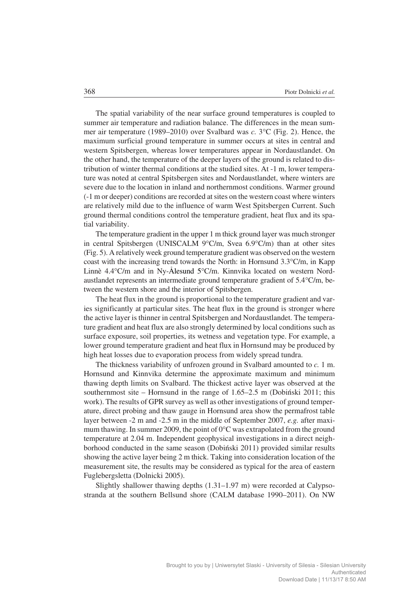The spatial variability of the near surface ground temperatures is coupled to summer air temperature and radiation balance. The differences in the mean summer air temperature (1989–2010) over Svalbard was *c*. 3°C (Fig. 2). Hence, the maximum surficial ground temperature in summer occurs at sites in central and western Spitsbergen, whereas lower temperatures appear in Nordaustlandet. On the other hand, the temperature of the deeper layers of the ground is related to dis− tribution of winter thermal conditions at the studied sites. At −1 m, lower tempera− ture was noted at central Spitsbergen sites and Nordaustlandet, where winters are severe due to the location in inland and northernmost conditions. Warmer ground (−1 m or deeper) conditions are recorded at sites on the western coast where winters are relatively mild due to the influence of warm West Spitsbergen Current. Such ground thermal conditions control the temperature gradient, heat flux and its spa− tial variability.

The temperature gradient in the upper 1 m thick ground layer was much stronger in central Spitsbergen (UNISCALM 9°C/m, Svea 6.9°C/m) than at other sites (Fig. 5). A relatively week ground temperature gradient was observed on the western coast with the increasing trend towards the North: in Hornsund 3.3°C/m, in Kapp Linnè 4.4°C/m and in Ny-Ålesund 5°C/m. Kinnvika located on western Nordaustlandet represents an intermediate ground temperature gradient of 5.4°C/m, between the western shore and the interior of Spitsbergen.

The heat flux in the ground is proportional to the temperature gradient and varies significantly at particular sites. The heat flux in the ground is stronger where the active layer is thinner in central Spitsbergen and Nordaustlandet. The tempera− ture gradient and heat flux are also strongly determined by local conditions such as surface exposure, soil properties, its wetness and vegetation type. For example, a lower ground temperature gradient and heat flux in Hornsund may be produced by high heat losses due to evaporation process from widely spread tundra.

The thickness variability of unfrozen ground in Svalbard amounted to *c.* 1 m. Hornsund and Kinnvika determine the approximate maximum and minimum thawing depth limits on Svalbard. The thickest active layer was observed at the southernmost site – Hornsund in the range of 1.65–2.5 m (Dobiński 2011; this work). The results of GPR survey as well as other investigations of ground temper− ature, direct probing and thaw gauge in Hornsund area show the permafrost table layer between −2 m and −2.5 m in the middle of September 2007, *e.g.* after maxi− mum thawing. In summer 2009, the point of  $0^{\circ}$ C was extrapolated from the ground temperature at 2.04 m. Independent geophysical investigations in a direct neigh− borhood conducted in the same season (Dobiński 2011) provided similar results showing the active layer being 2 m thick. Taking into consideration location of the measurement site, the results may be considered as typical for the area of eastern Fuglebergsletta (Dolnicki 2005).

Slightly shallower thawing depths (1.31–1.97 m) were recorded at Calypso− stranda at the southern Bellsund shore (CALM database 1990–2011). On NW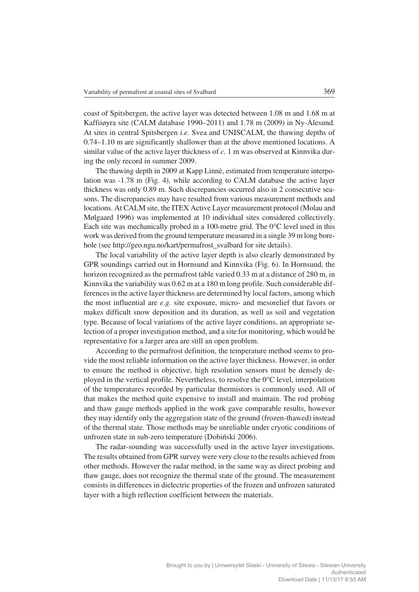coast of Spitsbergen, the active layer was detected between 1.08 m and 1.68 m at Kaffiiøyra site (CALM database 1990–2011) and 1.78 m (2009) in Ny−Ålesund. At sites in central Spitsbergen *i.e.* Svea and UNISCALM, the thawing depths of 0.74–1.10 m are significantly shallower than at the above mentioned locations. A similar value of the active layer thickness of *c.* 1 m was observed at Kinnvika dur− ing the only record in summer 2009.

The thawing depth in 2009 at Kapp Linnè, estimated from temperature interpo− lation was −1.78 m (Fig. 4), while according to CALM database the active layer thickness was only 0.89 m. Such discrepancies occurred also in 2 consecutive sea− sons. The discrepancies may have resulted from various measurement methods and locations. At CALM site, the ITEX Active Layer measurement protocol (Molau and Mølgaard 1996) was implemented at 10 individual sites considered collectively. Each site was mechanically probed in a 100-metre grid. The 0°C level used in this work was derived from the ground temperature measured in a single 39 m long bore− hole (see http://geo.ngu.no/kart/permafrost\_svalbard for site details).

The local variability of the active layer depth is also clearly demonstrated by GPR soundings carried out in Hornsund and Kinnvika (Fig. 6). In Hornsund, the horizon recognized as the permafrost table varied 0.33 m at a distance of 280 m, in Kinnvika the variability was 0.62 m at a 180 m long profile. Such considerable dif− ferences in the active layer thickness are determined by local factors, among which the most influential are *e.g.* site exposure, micro− and mesorelief that favors or makes difficult snow deposition and its duration, as well as soil and vegetation type. Because of local variations of the active layer conditions, an appropriate se− lection of a proper investigation method, and a site for monitoring, which would be representative for a larger area are still an open problem.

According to the permafrost definition, the temperature method seems to pro− vide the most reliable information on the active layer thickness. However, in order to ensure the method is objective, high resolution sensors must be densely de− ployed in the vertical profile. Nevertheless, to resolve the 0°C level, interpolation of the temperatures recorded by particular thermistors is commonly used. All of that makes the method quite expensive to install and maintain. The rod probing and thaw gauge methods applied in the work gave comparable results, however they may identify only the aggregation state of the ground (frozen−thawed) instead of the thermal state. Those methods may be unreliable under cryotic conditions of unfrozen state in sub−zero temperature (Dobiński 2006).

The radar−sounding was successfully used in the active layer investigations. The results obtained from GPR survey were very close to the results achieved from other methods. However the radar method, in the same way as direct probing and thaw gauge, does not recognize the thermal state of the ground. The measurement consists in differences in dielectric properties of the frozen and unfrozen saturated layer with a high reflection coefficient between the materials.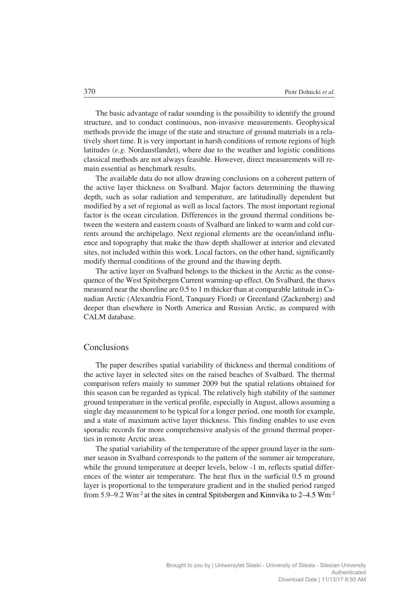The basic advantage of radar sounding is the possibility to identify the ground structure, and to conduct continuous, non−invasive measurements. Geophysical methods provide the image of the state and structure of ground materials in a rela− tively short time. It is very important in harsh conditions of remote regions of high latitudes (*e.g.* Nordaustlandet), where due to the weather and logistic conditions classical methods are not always feasible. However, direct measurements will re− main essential as benchmark results.

The available data do not allow drawing conclusions on a coherent pattern of the active layer thickness on Svalbard. Major factors determining the thawing depth, such as solar radiation and temperature, are latitudinally dependent but modified by a set of regional as well as local factors. The most important regional factor is the ocean circulation. Differences in the ground thermal conditions be− tween the western and eastern coasts of Svalbard are linked to warm and cold cur− rents around the archipelago. Next regional elements are the ocean/inland influ− ence and topography that make the thaw depth shallower at interior and elevated sites, not included within this work. Local factors, on the other hand, significantly modify thermal conditions of the ground and the thawing depth.

The active layer on Svalbard belongs to the thickest in the Arctic as the conse− quence of the West Spitsbergen Current warming−up effect. On Svalbard, the thaws measured near the shoreline are 0.5 to 1 m thicker than at comparable latitude in Ca− nadian Arctic (Alexandria Fiord, Tanquary Fiord) or Greenland (Zackenberg) and deeper than elsewhere in North America and Russian Arctic, as compared with CALM database.

#### **Conclusions**

The paper describes spatial variability of thickness and thermal conditions of the active layer in selected sites on the raised beaches of Svalbard. The thermal comparison refers mainly to summer 2009 but the spatial relations obtained for this season can be regarded as typical. The relatively high stability of the summer ground temperature in the vertical profile, especially in August, allows assuming a single day measurement to be typical for a longer period, one month for example, and a state of maximum active layer thickness. This finding enables to use even sporadic records for more comprehensive analysis of the ground thermal proper− ties in remote Arctic areas.

The spatial variability of the temperature of the upper ground layer in the sum− mer season in Svalbard corresponds to the pattern of the summer air temperature, while the ground temperature at deeper levels, below −1 m, reflects spatial differences of the winter air temperature. The heat flux in the surficial 0.5 m ground layer is proportional to the temperature gradient and in the studied period ranged from 5.9–9.2 Wm−2 at the sites in central Spitsbergen and Kinnvika to 2–4.5 Wm−2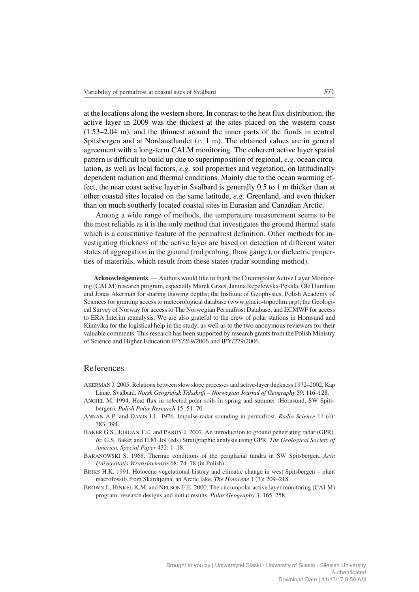at the locations along the western shore. In contrast to the heat flux distribution, the active layer in 2009 was the thickest at the sites placed on the western coast (1.53–2.04 m), and the thinnest around the inner parts of the fiords in central Spitsbergen and at Nordaustlandet (*c.* 1 m). The obtained values are in general agreement with a long−term CALM monitoring. The coherent active layer spatial pattern is difficult to build up due to superimposition of regional, *e.g.* ocean circu− lation, as well as local factors, *e.g.* soil properties and vegetation, on latitudinally dependent radiation and thermal conditions. Mainly due to the ocean warming ef− fect, the near coast active layer in Svalbard is generally 0.5 to 1 m thicker than at other coastal sites located on the same latitude, *e.g.* Greenland, and even thicker than on much southerly located coastal sites in Eurasian and Canadian Arctic.

Among a wide range of methods, the temperature measurement seems to be the most reliable as it is the only method that investigates the ground thermal state which is a constitutive feature of the permafrost definition. Other methods for in− vestigating thickness of the active layer are based on detection of different water states of aggregation in the ground (rod probing, thaw gauge), or dielectric proper− ties of materials, which result from these states (radar sounding method).

**Acknowledgements**. — Authors would like to thank the Circumpolar Active Layer Monitor− ing (CALM) research program, especially Marek Grześ, Janina Repelewska−Pękala, Ole Humlum and Jonas Akerman for sharing thawing depths; the Institute of Geophysics, Polish Academy of Sciences for granting access to meteorological database (www.glacio−topoclim.org); the Geologi− cal Survey of Norway for access to The Norwegian Permafrost Database, and ECMWF for access to ERA Interim reanalysis. We are also grateful to the crew of polar stations in Hornsund and Kinnvika for the logistical help in the study, as well as to the two anonymous reviewers for their valuable comments. This research has been supported by research grants from the Polish Ministry of Science and Higher Education IPY/269/2006 and IPY/279/2006.

## References

- AKERMAN J. 2005. Relations between slow slope processes and active−layer thickness 1972–2002, Kap Linnè, Svalbard. *Norsk Geografisk Tidsskrift* – *Norwegian Journal of Geography* 59: 116–128.
- ANGIEL M. 1994. Heat flux in selected polar soils in spring and summer (Hornsund, SW Spits− bergen). *Polish Polar Research* 15: 51–70.
- ANNAN A.P. and DAVIS J.L. 1976. Impulse radar sounding in permafrost. *Radio Science* 11 (4): 383–394.
- BAKER G.S., JORDAN T.E. and PARDY J. 2007. An introduction to ground penetrating radar (GPR). *In*: G.S. Baker and H.M. Jol (eds) Stratigraphic analysis using GPR. *The Geological Society of America, Special Paper* 432: 1–18.
- BARANOWSKI S. 1968. Thermic conditions of the periglacial tundra in SW Spitsbergen. *Acta Universitatis Wratislaviensis* 68: 74–78 (in Polish).
- BRIKS H.K. 1991. Holocene vegetational history and climatic change in west Spitsbergen plant macrofossils from Skardtjøtna, an Arctic lake. *The Holocene* 1 (3): 209–218.
- BROWN J., HINKEL K.M. and NELSON F.E. 2000. The circumpolar active layer monitoring (CALM) program: research designs and initial results. *Polar Geography* 3: 165–258.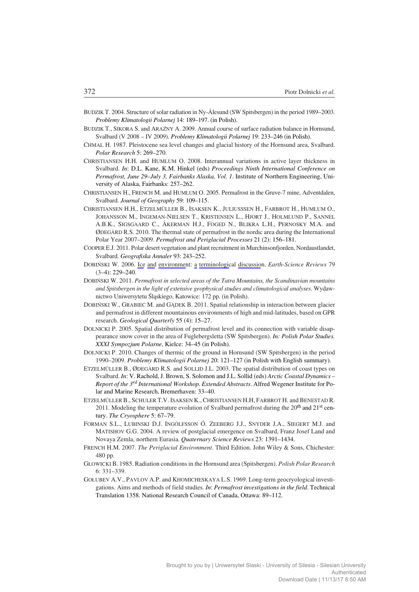- BUDZIK T. 2004. Structure of solar radiation in Ny−Ålesund (SW Spitsbergen) in the period 1989–2003. *Problemy Klimatologii Polarnej* 14: 189–197. (in Polish).
- BUDZIK T., SIKORA S. and ARAŹNY A. 2009. Annual course of surface radiation balance in Hornsund, Svalbard (V 2008 – IV 2009). *Problemy Klimatologii Polarnej* 19: 233–246 (in Polish).
- CHMAL H. 1987. Pleistocene sea level changes and glacial history of the Hornsund area, Svalbard. *Polar Research* 5: 269–270.
- CHRISTIANSEN H.H. and HUMLUM O. 2008. Interannual variations in active layer thickness in Svalbard. *In*: D.L. Kane, K.M. Hinkel (eds) *Proceedings Ninth International Conference on Permafrost, June 29–July 3, Fairbanks Alaska, Vol. 1*. Institute of Northern Engineering, Uni− versity of Alaska, Fairbanks: 257–262.
- CHRISTIANSEN H., FRENCH M. and HUMLUM O. 2005. Permafrost in the Gruve−7 mine, Adventdalen, Svalbard. *Journal of Geography* 59: 109–115.
- CHRISTIANSEN H.H., ETZELMÜLLER B., ISAKSEN K., JULIUSSSEN H., FARBROT H., HUMLUM O., JOHANSSON M., INGEMAN−NIELSEN T., KRISTENSEN L., HJORT J., HOLMLUND P., SANNEL A.B.K., SIGSGAARD C., ÅKERMAN H.J., FOGED N., BLIKRA L.H., PERNOSKY M.A. and ØDEGÅRD R.S. 2010. The thermal state of permafrost in the nordic area during the International Polar Year 2007–2009. *Permafrost and Periglacial Processes* 21 (2): 156–181.
- COOPER E.J. 2011. Polar desert vegetation and plant recruitment in Murchinsonfjorden, Nordaustlandet, Svalbard. *Geografiska Annaler* 93: 243–252.
- DOBIŃSKI W. 2006. Ice and environment: a terminological discussion. *Earth−Science Reviews* 79 (3–4): 229–240.
- DOBIŃSKI W. 2011. *Permafrost in selected areas of the Tatra Mountains, the Scandinavian mountains and Spitsbergen in the light of extensive geophysical studies and climatological analyses*. Wydaw− nictwo Uniwersytetu Śląskiego, Katowice: 172 pp. (in Polish).
- DOBIŃSKI W., GRABIEC M. and GĄDEK B. 2011. Spatial relationship in interaction between glacier and permafrost in different mountainous environments of high and mid−latitudes, based on GPR research. *Geological Quarterly* 55 (4): 15–27.
- DOLNICKI P. 2005. Spatial distribution of permafrost level and its connection with variable disap− pearance snow cover in the area of Fuglebergsletta (SW Spitsbergen). *In: Polish Polar Studies. XXXI Sympozjum Polarne*, Kielce: 34–45 (in Polish).
- DOLNICKI P. 2010. Changes of thermic of the ground in Hornsund (SW Spitsbergen) in the period 1990–2009. *Problemy Klimatologii Polarnej* 20: 121–127 (in Polish with English summary).
- ETZELMÜLLER B., ØDEGÅRD R.S. and SOLLID J.L. 2003. The spatial distribution of coast types on Svalbard. *In*: V. Rachold, J. Brown, S. Solomon and J.L. Sollid (eds) *Arctic Coastal Dynamics – Report of the 3rd International Workshop. Extended Abstracts*. Alfred Wegener Institute for Po− lar and Marine Research, Bremerhaven: 33–40.
- ETZELMÜLLER B., SCHULER T.V. ISAKSEN K., CHRISTIANSEN H.H, FARBROT H. and BENESTAD R. 2011. Modeling the temperature evolution of Svalbard permafrost during the 20<sup>th</sup> and 21<sup>st</sup> cen− tury. *The Cryosphere* 5: 67–79.
- FORMAN S.L., LUBINSKI D.J. INGÓLFSSON Ó. ZEEBERG J.J., SNYDER J.A., SIEGERT M.J. and MATISHOV G.G. 2004. A review of postglacial emergence on Svalbard, Franz Josef Land and Novaya Zemla, northern Eurasia. *Quaternary Science Reviews* 23: 1391–1434.
- FRENCH H.M. 2007. *The Periglacial Environment*. Third Edition. John Wiley & Sons, Chichester: 480 pp.
- GŁOWICKI B. 1985. Radiation conditions in the Hornsund area (Spitsbergen). *Polish Polar Research* 6: 331–339.
- GOLUBEV A.V., PAVLOV A.P. and KHOMICHESKAYA L.S. 1969. Long-term geocryological investigations. Aims and methods of field studies. *In*: *Permafrost investigations in the field*. Technical Translation 1358. National Research Council of Canada, Ottawa: 89–112.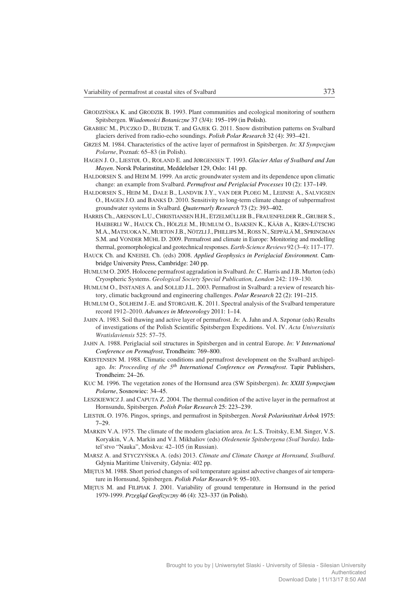- GRODZIŃSKA K. and GRODZIK B. 1993. Plant communities and ecological monitoring of southern Spitsbergen. *Wiadomości Botaniczne* 37 (3/4): 195–199 (in Polish).
- GRABIEC M., PUCZKO D., BUDZIK T. and GAJEK G. 2011. Snow distribution patterns on Svalbard glaciers derived from radio−echo soundings. *Polish Polar Research* 32 (4): 393–421.
- GRZEŚ M. 1984. Characteristics of the active layer of permafrost in Spitsbergen. *In*: *XI Sympozjum Polarne*, Poznań: 65–83 (in Polish).
- HAGEN J. O., LIESTØL O., ROLAND E. and JØRGENSEN T. 1993. *Glacier Atlas of Svalbard and Jan Mayen*. Norsk Polarinstitut, Meddelelser 129, Oslo: 141 pp.
- HALDORSEN S. and HEIM M. 1999. An arctic groundwater system and its dependence upon climatic change: an example from Svalbard. *Permafrost and Periglacial Processes* 10 (2): 137–149.
- HALDORSEN S., HEIM M., DALE B., LANDVIK J.Y., VAN DER PLOEG M., LEIJNSE A., SALVIGSEN O., HAGEN J.O. and BANKS D. 2010. Sensitivity to long−term climate change of subpermafrost groundwater systems in Svalbard. *Quaternarly Research* 73 (2): 393–402.
- HARRIS Ch., ARENSON L.U., CHRISTIANSEN H.H., ETZELMÜLLER B., FRAUENFELDER R., GRUBER S., HAEBERLI W., HAUCK Ch., HÖLZLE M., HUMLUM O., ISAKSEN K., KÄÄB A., KERN−LÜTSCHG M.A., MATSUOKA N., MURTON J.B., NÖTZLIJ., PHILLIPS M., ROSS N., SEPPÄLÄ M., SPRINGMAN S.M. and VONDER MÜHL D. 2009. Permafrost and climate in Europe: Monitoring and modelling thermal, geomorphological and geotechnical responses. *Earth−Science Reviews* 92 (3–4): 117–177.
- HAUCK Ch. and KNEISEL Ch. (eds) 2008. *Applied Geophysics in Periglacial Environment.* Cam− bridge University Press, Cambridge: 240 pp.
- HUMLUM O. 2005. Holocene permafrost aggradation in Svalbard. *In*: C. Harris and J.B. Murton (eds) Cryospheric Systems. *Geological Society Special Publication, London* 242: 119–130.
- HUMLUM O., INSTANES A. and SOLLID J.L. 2003. Permafrost in Svalbard: a review of research his− tory, climatic background and engineering challenges. *Polar Research* 22 (2): 191–215.
- HUMLUM O., SOLHEIM J.−E. and STORGAHL K. 2011. Spectral analysis of the Svalbard temperature record 1912–2010. *Advances in Meteorology* 2011: 1–14.
- JAHN A. 1983. Soil thawing and active layer of permafrost. *In*: A. Jahn and A. Szponar (eds) Results of investigations of the Polish Scientific Spitsbergen Expeditions. Vol. IV. *Acta Universitatis Wratislaviensis* 525: 57–75.
- JAHN A. 1988. Periglacial soil structures in Spitsbergen and in central Europe. *In*: *V International Conference on Permafrost*, Trondheim: 769–800.
- KRISTENSEN M. 1988. Climatic conditions and permafrost development on the Svalbard archipelago. *In*: *Proceeding of the 5th International Conference on Permafrost*. Tapir Publishers, Trondheim: 24–26.
- KUC M. 1996. The vegetation zones of the Hornsund area (SW Spitsbergen). *In*: *XXIII Sympozjum Polarne*, Sosnowiec: 34–45.
- LESZKIEWICZ J. and CAPUTA Z. 2004. The thermal condition of the active layer in the permafrost at Hornsundu, Spitsbergen. *Polish Polar Research* 25: 223–239.
- LIESTØL O. 1976. Pingos, springs, and permafrost in Spitsbergen. *Norsk Polarinstitutt Årbok* 1975: 7–29.
- MARKIN V.A. 1975. The climate of the modern glaciation area. *In*: L.S. Troitsky, E.M. Singer, V.S. Koryakin, V.A. Markin and V.I. Mikhaliov (eds) *Oledenenie Spitsbergena (Sval'barda)*. Izda− tel'stvo "Nauka", Moskva: 42–105 (in Russian).
- MARSZ A. and STYCZYŃSKA A. (eds) 2013. *Climate and Climate Change at Hornsund, Svalbard*. Gdynia Maritime University, Gdynia: 402 pp.
- MIĘTUS M. 1988. Short period changes of soil temperature against advective changes of air tempera− ture in Hornsund, Spitsbergen. *Polish Polar Research* 9: 95–103.
- MIĘTUS M. and FILIPIAK J. 2001. Variability of ground temperature in Hornsund in the period 1979−1999. *Przegląd Geofizyczny* 46 (4): 323–337 (in Polish).